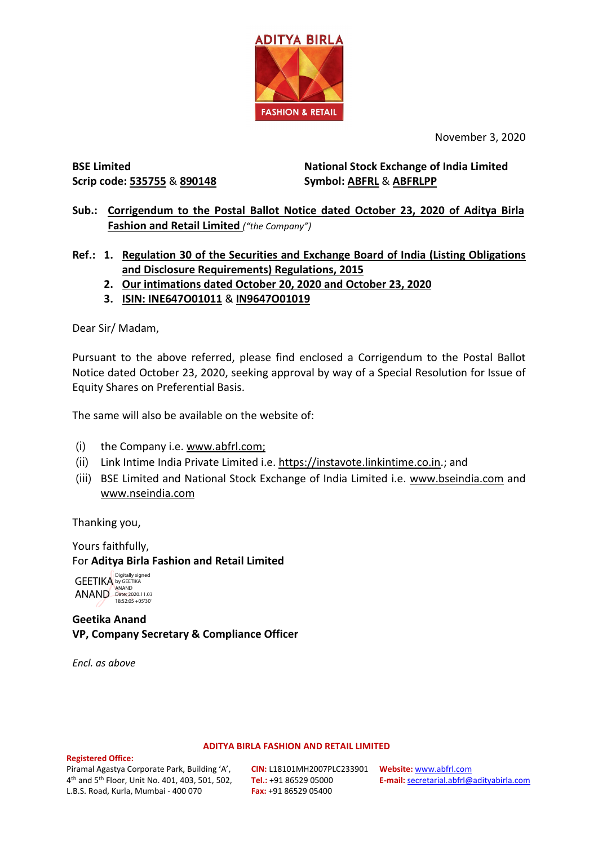

November 3, 2020

**BSE Limited Scrip code: 535755** & **890148** **National Stock Exchange of India Limited Symbol: ABFRL** & **ABFRLPP**

**Sub.: Corrigendum to the Postal Ballot Notice dated October 23, 2020 of Aditya Birla Fashion and Retail Limited** *("the Company")*

**Ref.: 1. Regulation 30 of the Securities and Exchange Board of India (Listing Obligations and Disclosure Requirements) Regulations, 2015**

- **2. Our intimations dated October 20, 2020 and October 23, 2020**
- **3. ISIN: INE647O01011** & **IN9647O01019**

Dear Sir/ Madam,

Pursuant to the above referred, please find enclosed a Corrigendum to the Postal Ballot Notice dated October 23, 2020, seeking approval by way of a Special Resolution for Issue of Equity Shares on Preferential Basis.

The same will also be available on the website of:

- (i) the Company i.e[. www.abfrl.com;](http://www.abfrl.com/investors/postal-ballot/)
- (ii) Link Intime India Private Limited i.e. [https://instavote.linkintime.co.in.](https://instavote.linkintime.co.in/); and
- (iii) BSE Limited and National Stock Exchange of India Limited i.e. [www.bseindia.com](https://www.bseindia.com/) and [www.nseindia.com](https://www.nseindia.com/)

Thanking you,

Yours faithfully, For **Aditya Birla Fashion and Retail Limited**

GEETIKA **by GEETIKA** ANAND Date: 2020.11.03 18:52:05 +05'30'Digitally signed

## **Geetika Anand VP, Company Secretary & Compliance Officer**

*Encl. as above*

## **ADITYA BIRLA FASHION AND RETAIL LIMITED**

## **Registered Office:**

Piramal Agastya Corporate Park, Building 'A', 4th and 5th Floor, Unit No. 401, 403, 501, 502, L.B.S. Road, Kurla, Mumbai - 400 070

**CIN:** L18101MH2007PLC233901 **Website:** [www.abfrl.com](http://www.abfrl.com/) **Tel.:** +91 86529 05000 **Fax:** +91 86529 05400

**E-mail:** [secretarial.abfrl@adityabirla.com](mailto:secretarial.abfrl@adityabirla.com)